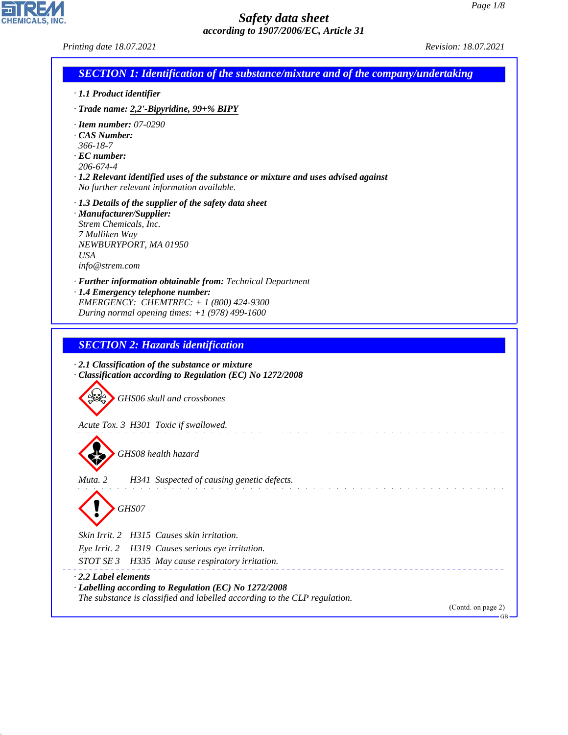CHEMICALS, INC.

44.1.1

| Printing date 18.07.2021                                                                                                                                                                                                                    | Revision: 18.07.2021     |
|---------------------------------------------------------------------------------------------------------------------------------------------------------------------------------------------------------------------------------------------|--------------------------|
| <b>SECTION 1: Identification of the substance/mixture and of the company/undertaking</b>                                                                                                                                                    |                          |
| · 1.1 Product identifier                                                                                                                                                                                                                    |                          |
| · Trade name: 2,2'-Bipyridine, 99+% BIPY                                                                                                                                                                                                    |                          |
| $\cdot$ Item number: 07-0290<br>CAS Number:<br>$366 - 18 - 7$<br>$\cdot$ EC number:<br>206-674-4<br>$\cdot$ 1.2 Relevant identified uses of the substance or mixture and uses advised against<br>No further relevant information available. |                          |
| · 1.3 Details of the supplier of the safety data sheet<br>· Manufacturer/Supplier:<br>Strem Chemicals, Inc.<br>7 Mulliken Way<br>NEWBURYPORT, MA 01950<br><b>USA</b><br>info@strem.com                                                      |                          |
| · Further information obtainable from: Technical Department<br>· 1.4 Emergency telephone number:<br>EMERGENCY: CHEMTREC: + 1 (800) 424-9300<br>During normal opening times: $+1$ (978) 499-1600                                             |                          |
| <b>SECTION 2: Hazards identification</b>                                                                                                                                                                                                    |                          |
|                                                                                                                                                                                                                                             |                          |
| $\cdot$ 2.1 Classification of the substance or mixture<br>Classification according to Regulation (EC) No 1272/2008                                                                                                                          |                          |
| GHS06 skull and crossbones                                                                                                                                                                                                                  |                          |
| Acute Tox. 3 H301 Toxic if swallowed.                                                                                                                                                                                                       |                          |
| GHS08 health hazard                                                                                                                                                                                                                         |                          |
| Muta. 2<br>H341 Suspected of causing genetic defects.                                                                                                                                                                                       |                          |
| GHS07                                                                                                                                                                                                                                       |                          |
| Skin Irrit. 2 H315 Causes skin irritation.                                                                                                                                                                                                  |                          |
| H319 Causes serious eye irritation.<br>Eye Irrit. 2                                                                                                                                                                                         |                          |
| H335 May cause respiratory irritation.<br><i>STOT SE 3</i>                                                                                                                                                                                  |                          |
| $\cdot$ 2.2 Label elements                                                                                                                                                                                                                  |                          |
| · Labelling according to Regulation (EC) No 1272/2008                                                                                                                                                                                       |                          |
| The substance is classified and labelled according to the CLP regulation.                                                                                                                                                                   | (Contd. on page 2)<br>GB |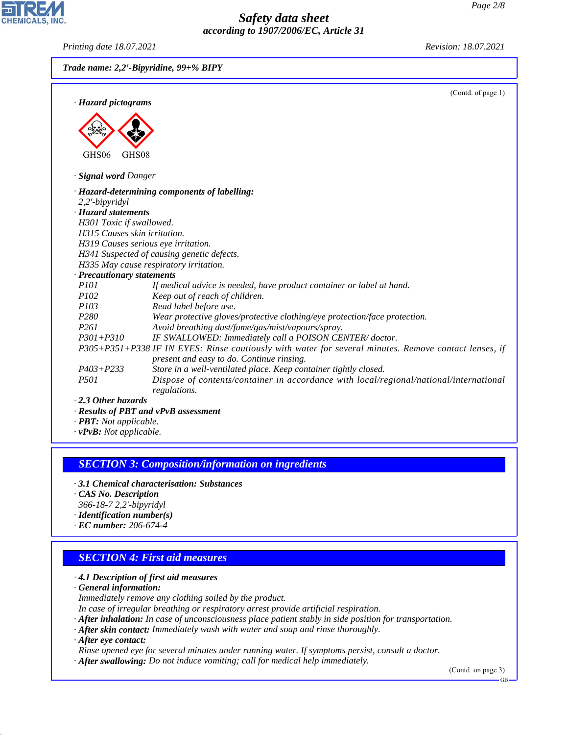*Printing date 18.07.2021 Revision: 18.07.2021*

**CHEMICALS, INC** 

|                              | (Contd. of page 1)                                                                                     |
|------------------------------|--------------------------------------------------------------------------------------------------------|
| · Hazard pictograms          |                                                                                                        |
|                              |                                                                                                        |
|                              |                                                                                                        |
|                              |                                                                                                        |
| GHS <sub>06</sub><br>GHS08   |                                                                                                        |
| · Signal word Danger         |                                                                                                        |
|                              | · Hazard-determining components of labelling:                                                          |
| 2,2'-bipyridyl               |                                                                                                        |
| · Hazard statements          |                                                                                                        |
| H301 Toxic if swallowed.     |                                                                                                        |
| H315 Causes skin irritation. |                                                                                                        |
|                              | H319 Causes serious eye irritation.                                                                    |
|                              | H341 Suspected of causing genetic defects.                                                             |
|                              | H335 May cause respiratory irritation.                                                                 |
| · Precautionary statements   |                                                                                                        |
| <i>P101</i>                  | If medical advice is needed, have product container or label at hand.                                  |
| P <sub>102</sub>             | Keep out of reach of children.                                                                         |
| P103                         | Read label before use.                                                                                 |
| P <sub>280</sub>             | Wear protective gloves/protective clothing/eye protection/face protection.                             |
| P <sub>261</sub>             | Avoid breathing dust/fume/gas/mist/vapours/spray.                                                      |
| $P301 + P310$                | IF SWALLOWED: Immediately call a POISON CENTER/doctor.                                                 |
|                              | P305+P351+P338 IF IN EYES: Rinse cautiously with water for several minutes. Remove contact lenses, if  |
|                              | present and easy to do. Continue rinsing.                                                              |
| $P403 + P233$                | Store in a well-ventilated place. Keep container tightly closed.                                       |
| <i>P501</i>                  | Dispose of contents/container in accordance with local/regional/national/international<br>regulations. |
| 2.3 Other hazards            |                                                                                                        |
|                              | · Results of PBT and vPvB assessment                                                                   |

#### *SECTION 3: Composition/information on ingredients*

- *· 3.1 Chemical characterisation: Substances*
- *· CAS No. Description*
- *366-18-7 2,2'-bipyridyl*
- *· Identification number(s)*
- *· EC number: 206-674-4*

## *SECTION 4: First aid measures*

*· 4.1 Description of first aid measures*

*· General information:*

*Immediately remove any clothing soiled by the product.*

*In case of irregular breathing or respiratory arrest provide artificial respiration.*

- *· After inhalation: In case of unconsciousness place patient stably in side position for transportation.*
- *· After skin contact: Immediately wash with water and soap and rinse thoroughly.*

*· After eye contact:*

44.1.1

*Rinse opened eye for several minutes under running water. If symptoms persist, consult a doctor.*

*· After swallowing: Do not induce vomiting; call for medical help immediately.*

(Contd. on page 3)

GB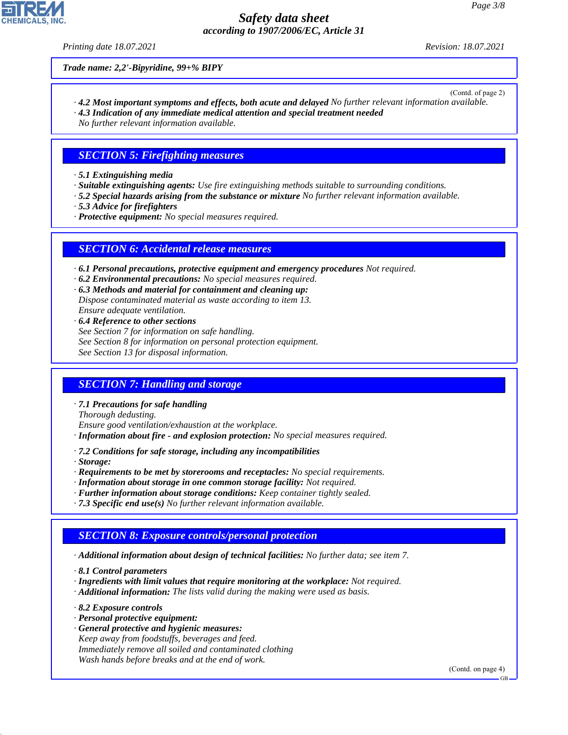*Printing date 18.07.2021 Revision: 18.07.2021*

*Trade name: 2,2'-Bipyridine, 99+% BIPY*

(Contd. of page 2)

*· 4.2 Most important symptoms and effects, both acute and delayed No further relevant information available. · 4.3 Indication of any immediate medical attention and special treatment needed*

*No further relevant information available.*

# *SECTION 5: Firefighting measures*

*· 5.1 Extinguishing media*

- *· Suitable extinguishing agents: Use fire extinguishing methods suitable to surrounding conditions.*
- *· 5.2 Special hazards arising from the substance or mixture No further relevant information available.*
- *· 5.3 Advice for firefighters*
- *· Protective equipment: No special measures required.*

#### *SECTION 6: Accidental release measures*

- *· 6.1 Personal precautions, protective equipment and emergency procedures Not required.*
- *· 6.2 Environmental precautions: No special measures required.*
- *· 6.3 Methods and material for containment and cleaning up: Dispose contaminated material as waste according to item 13. Ensure adequate ventilation.*
- *· 6.4 Reference to other sections See Section 7 for information on safe handling. See Section 8 for information on personal protection equipment. See Section 13 for disposal information.*

## *SECTION 7: Handling and storage*

*· 7.1 Precautions for safe handling*

*Thorough dedusting.*

*Ensure good ventilation/exhaustion at the workplace.*

- *· Information about fire and explosion protection: No special measures required.*
- *· 7.2 Conditions for safe storage, including any incompatibilities*

*· Storage:*

- *· Requirements to be met by storerooms and receptacles: No special requirements.*
- *· Information about storage in one common storage facility: Not required.*
- *· Further information about storage conditions: Keep container tightly sealed.*
- *· 7.3 Specific end use(s) No further relevant information available.*

## *SECTION 8: Exposure controls/personal protection*

*· Additional information about design of technical facilities: No further data; see item 7.*

*· 8.1 Control parameters*

- *· Ingredients with limit values that require monitoring at the workplace: Not required.*
- *· Additional information: The lists valid during the making were used as basis.*

*· 8.2 Exposure controls*

44.1.1

- *· Personal protective equipment:*
- *· General protective and hygienic measures: Keep away from foodstuffs, beverages and feed. Immediately remove all soiled and contaminated clothing Wash hands before breaks and at the end of work.*

(Contd. on page 4)

GB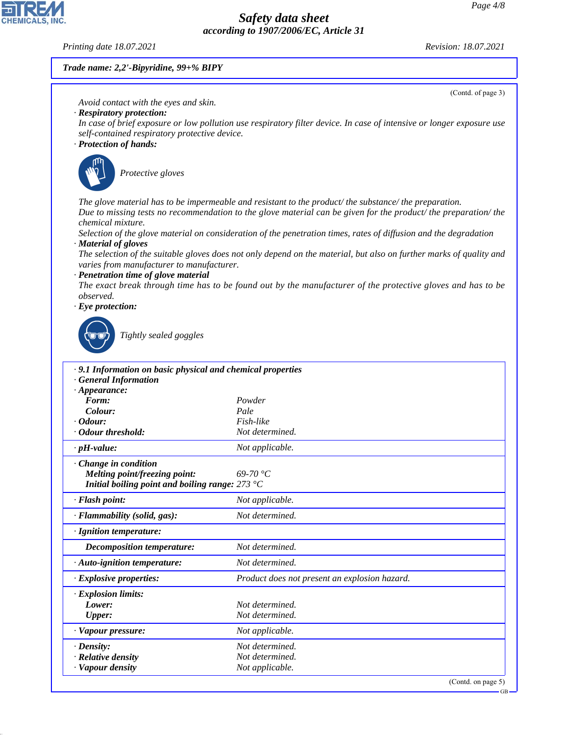*Printing date 18.07.2021 Revision: 18.07.2021*

**CHEMICALS, INC** 

(Contd. of page 3)

#### *Trade name: 2,2'-Bipyridine, 99+% BIPY*

*Avoid contact with the eyes and skin.*

- *· Respiratory protection:*
- *In case of brief exposure or low pollution use respiratory filter device. In case of intensive or longer exposure use self-contained respiratory protective device.*
- *· Protection of hands:*



\_S*Protective gloves*

*The glove material has to be impermeable and resistant to the product/ the substance/ the preparation. Due to missing tests no recommendation to the glove material can be given for the product/ the preparation/ the chemical mixture.*

*Selection of the glove material on consideration of the penetration times, rates of diffusion and the degradation · Material of gloves*

*The selection of the suitable gloves does not only depend on the material, but also on further marks of quality and varies from manufacturer to manufacturer.*

*· Penetration time of glove material*

*The exact break through time has to be found out by the manufacturer of the protective gloves and has to be observed.*

*· Eye protection:*



44.1.1

\_R*Tightly sealed goggles*

| .9.1 Information on basic physical and chemical properties       |                                               |
|------------------------------------------------------------------|-----------------------------------------------|
| <b>General Information</b>                                       |                                               |
| $\cdot$ Appearance:                                              |                                               |
| Form:                                                            | Powder                                        |
| Colour:                                                          | Pale                                          |
| $\cdot$ Odour:                                                   | Fish-like                                     |
| · Odour threshold:                                               | Not determined.                               |
| $\cdot$ pH-value:                                                | Not applicable.                               |
| $\cdot$ Change in condition                                      |                                               |
| Melting point/freezing point:                                    | $69-70 °C$                                    |
| Initial boiling point and boiling range: $273 \text{ }^{\circ}C$ |                                               |
| · Flash point:                                                   | Not applicable.                               |
| · Flammability (solid, gas):                                     | Not determined.                               |
| $\cdot$ Ignition temperature:                                    |                                               |
| <b>Decomposition temperature:</b>                                | Not determined.                               |
| · Auto-ignition temperature:                                     | Not determined.                               |
| $\cdot$ Explosive properties:                                    | Product does not present an explosion hazard. |
| $\cdot$ Explosion limits:                                        |                                               |
| Lower:                                                           | Not determined.                               |
| Upper:                                                           | Not determined.                               |
| · Vapour pressure:                                               | Not applicable.                               |
| $\cdot$ Density:                                                 | Not determined.                               |
| · Relative density                                               | Not determined.                               |
| · Vapour density                                                 | Not applicable.                               |
|                                                                  | $\sqrt{2}$ $\sqrt{1}$                         |

(Contd. on page 5)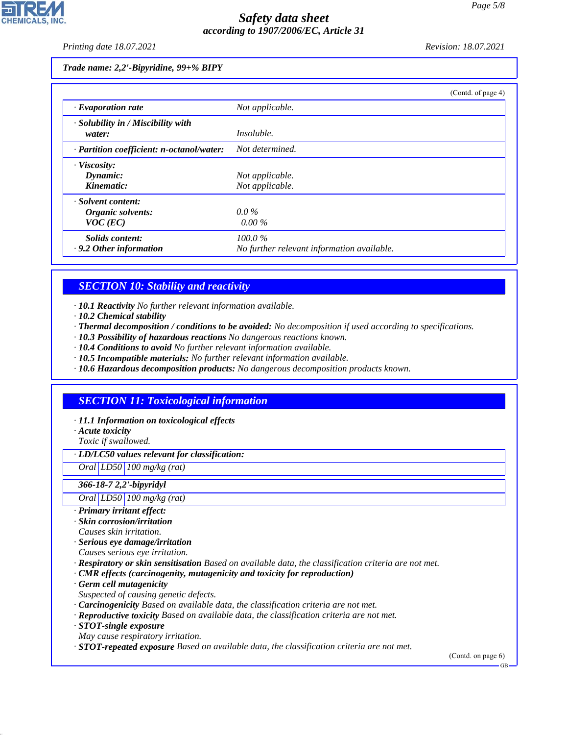*Printing date 18.07.2021 Revision: 18.07.2021*

#### *Trade name: 2,2'-Bipyridine, 99+% BIPY*

|                                                       | (Contd. of page 4)                                      |
|-------------------------------------------------------|---------------------------------------------------------|
| $\cdot$ Evaporation rate                              | Not applicable.                                         |
| $\cdot$ Solubility in / Miscibility with<br>water:    | <i>Insoluble.</i>                                       |
| · Partition coefficient: n-octanol/water:             | Not determined.                                         |
| · Viscosity:<br>Dynamic:<br>Kinematic:                | Not applicable.<br>Not applicable.                      |
| · Solvent content:<br>Organic solvents:<br>$VOC$ (EC) | $0.0\%$<br>$0.00\%$                                     |
| Solids content:<br>$\cdot$ 9.2 Other information      | $100.0\%$<br>No further relevant information available. |

# *SECTION 10: Stability and reactivity*

*· 10.1 Reactivity No further relevant information available.*

- *· 10.2 Chemical stability*
- *· Thermal decomposition / conditions to be avoided: No decomposition if used according to specifications.*
- *· 10.3 Possibility of hazardous reactions No dangerous reactions known.*
- *· 10.4 Conditions to avoid No further relevant information available.*
- *· 10.5 Incompatible materials: No further relevant information available.*
- *· 10.6 Hazardous decomposition products: No dangerous decomposition products known.*

# *SECTION 11: Toxicological information*

- *· 11.1 Information on toxicological effects*
- *· Acute toxicity*
- *Toxic if swallowed.*

*· LD/LC50 values relevant for classification:*

*Oral LD50 100 mg/kg (rat)*

#### *366-18-7 2,2'-bipyridyl*

*Oral LD50 100 mg/kg (rat)*

- *· Primary irritant effect:*
- *· Skin corrosion/irritation*
- *Causes skin irritation.*
- *· Serious eye damage/irritation*
- *Causes serious eye irritation.*
- *· Respiratory or skin sensitisation Based on available data, the classification criteria are not met.*
- *· CMR effects (carcinogenity, mutagenicity and toxicity for reproduction)*
- *· Germ cell mutagenicity*
- *Suspected of causing genetic defects.*
- *· Carcinogenicity Based on available data, the classification criteria are not met.*
- *· Reproductive toxicity Based on available data, the classification criteria are not met.*
- *· STOT-single exposure*

44.1.1

- *May cause respiratory irritation.*
- *· STOT-repeated exposure Based on available data, the classification criteria are not met.*

(Contd. on page 6)

GB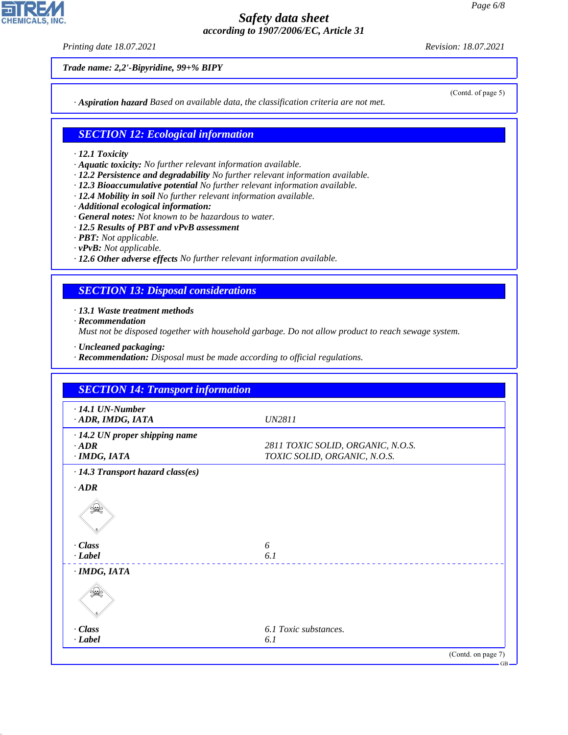*Printing date 18.07.2021 Revision: 18.07.2021*

**CHEMICALS, INC** 

(Contd. of page 5)

*Trade name: 2,2'-Bipyridine, 99+% BIPY*

*· Aspiration hazard Based on available data, the classification criteria are not met.*

#### *SECTION 12: Ecological information*

#### *· 12.1 Toxicity*

- *· Aquatic toxicity: No further relevant information available.*
- *· 12.2 Persistence and degradability No further relevant information available.*
- *· 12.3 Bioaccumulative potential No further relevant information available.*
- *· 12.4 Mobility in soil No further relevant information available.*
- *· Additional ecological information:*
- *· General notes: Not known to be hazardous to water.*
- *· 12.5 Results of PBT and vPvB assessment*
- *· PBT: Not applicable.*
- *· vPvB: Not applicable.*
- *· 12.6 Other adverse effects No further relevant information available.*

#### *SECTION 13: Disposal considerations*

*· 13.1 Waste treatment methods*

*· Recommendation*

44.1.1

*Must not be disposed together with household garbage. Do not allow product to reach sewage system.*

- *· Uncleaned packaging:*
- *· Recommendation: Disposal must be made according to official regulations.*

| $\cdot$ 14.1 UN-Number<br>· ADR, IMDG, IATA | <b>UN2811</b>                     |  |
|---------------------------------------------|-----------------------------------|--|
| · 14.2 UN proper shipping name              |                                   |  |
| $\cdot$ ADR                                 | 2811 TOXIC SOLID, ORGANIC, N.O.S. |  |
| $\cdot$ IMDG, IATA                          | TOXIC SOLID, ORGANIC, N.O.S.      |  |
| · 14.3 Transport hazard class(es)           |                                   |  |
| $\cdot$ <i>ADR</i>                          |                                   |  |
| ₩                                           |                                   |  |
| · Class                                     | 6                                 |  |
| $\cdot$ Label                               | 6.1                               |  |
| $\cdot$ IMDG, IATA                          |                                   |  |
| ₩                                           |                                   |  |
| $\cdot$ Class                               | 6.1 Toxic substances.             |  |
| $\cdot$ Label                               | 6.1                               |  |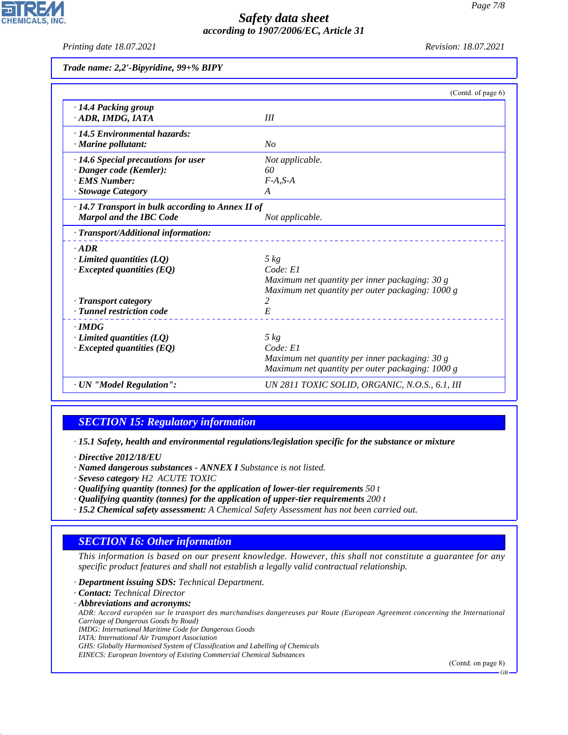*Printing date 18.07.2021 Revision: 18.07.2021*

**CHEMICALS** 

*Trade name: 2,2'-Bipyridine, 99+% BIPY*

|                                                         | (Contd. of page 6)                               |
|---------------------------------------------------------|--------------------------------------------------|
| $\cdot$ 14.4 Packing group<br>· ADR, IMDG, IATA         | Ш                                                |
| · 14.5 Environmental hazards:                           |                                                  |
| $\cdot$ Marine pollutant:                               | No                                               |
| $\cdot$ 14.6 Special precautions for user               | Not applicable.                                  |
| · Danger code (Kemler):                                 | 60                                               |
| · EMS Number:                                           | $F-A, S-A$                                       |
| · Stowage Category                                      | A                                                |
| $\cdot$ 14.7 Transport in bulk according to Annex II of |                                                  |
| <b>Marpol and the IBC Code</b>                          | Not applicable.                                  |
| · Transport/Additional information:                     |                                                  |
| $\cdot$ ADR                                             |                                                  |
| $\cdot$ Limited quantities (LQ)                         | $5 \ kg$                                         |
| $\cdot$ Excepted quantities (EQ)                        | Code: El                                         |
|                                                         | Maximum net quantity per inner packaging: $30 g$ |
|                                                         | Maximum net quantity per outer packaging: 1000 g |
| $\cdot$ Transport category                              | 2                                                |
| · Tunnel restriction code                               | E                                                |
| $\cdot$ IMDG                                            |                                                  |
| $\cdot$ Limited quantities (LQ)                         | $5 \ kg$                                         |
| $\cdot$ Excepted quantities (EQ)                        | Code: El                                         |
|                                                         | Maximum net quantity per inner packaging: 30 g   |
|                                                         | Maximum net quantity per outer packaging: 1000 g |
| · UN "Model Regulation":                                | UN 2811 TOXIC SOLID, ORGANIC, N.O.S., 6.1, III   |

# *SECTION 15: Regulatory information*

*· 15.1 Safety, health and environmental regulations/legislation specific for the substance or mixture*

*· Directive 2012/18/EU*

*· Named dangerous substances - ANNEX I Substance is not listed.*

- *· Seveso category H2 ACUTE TOXIC*
- *· Qualifying quantity (tonnes) for the application of lower-tier requirements 50 t*
- *· Qualifying quantity (tonnes) for the application of upper-tier requirements 200 t*
- *· 15.2 Chemical safety assessment: A Chemical Safety Assessment has not been carried out.*

## *SECTION 16: Other information*

*This information is based on our present knowledge. However, this shall not constitute a guarantee for any specific product features and shall not establish a legally valid contractual relationship.*

*· Department issuing SDS: Technical Department.*

*· Contact: Technical Director*

*· Abbreviations and acronyms:*

44.1.1

*ADR: Accord européen sur le transport des marchandises dangereuses par Route (European Agreement concerning the International Carriage of Dangerous Goods by Road)*

*IMDG: International Maritime Code for Dangerous Goods*

*IATA: International Air Transport Association*

*GHS: Globally Harmonised System of Classification and Labelling of Chemicals EINECS: European Inventory of Existing Commercial Chemical Substances*

(Contd. on page 8)